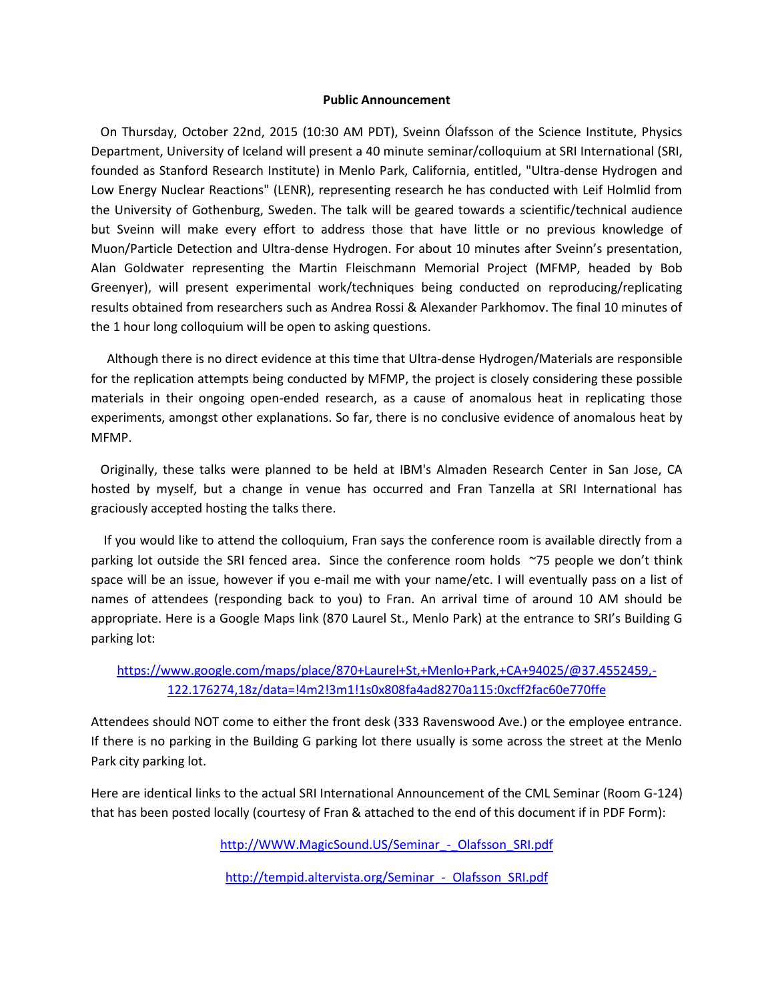### **Public Announcement**

 On Thursday, October 22nd, 2015 (10:30 AM PDT), Sveinn Ólafsson of the Science Institute, Physics Department, University of Iceland will present a 40 minute seminar/colloquium at SRI International (SRI, founded as Stanford Research Institute) in Menlo Park, California, entitled, "Ultra-dense Hydrogen and Low Energy Nuclear Reactions" (LENR), representing research he has conducted with Leif Holmlid from the University of Gothenburg, Sweden. The talk will be geared towards a scientific/technical audience but Sveinn will make every effort to address those that have little or no previous knowledge of Muon/Particle Detection and Ultra-dense Hydrogen. For about 10 minutes after Sveinn's presentation, Alan Goldwater representing the Martin Fleischmann Memorial Project (MFMP, headed by Bob Greenyer), will present experimental work/techniques being conducted on reproducing/replicating results obtained from researchers such as Andrea Rossi & Alexander Parkhomov. The final 10 minutes of the 1 hour long colloquium will be open to asking questions.

 Although there is no direct evidence at this time that Ultra-dense Hydrogen/Materials are responsible for the replication attempts being conducted by MFMP, the project is closely considering these possible materials in their ongoing open-ended research, as a cause of anomalous heat in replicating those experiments, amongst other explanations. So far, there is no conclusive evidence of anomalous heat by MFMP.

 Originally, these talks were planned to be held at IBM's Almaden Research Center in San Jose, CA hosted by myself, but a change in venue has occurred and Fran Tanzella at SRI International has graciously accepted hosting the talks there.

 If you would like to attend the colloquium, Fran says the conference room is available directly from a parking lot outside the SRI fenced area. Since the conference room holds ~75 people we don't think space will be an issue, however if you e-mail me with your name/etc. I will eventually pass on a list of names of attendees (responding back to you) to Fran. An arrival time of around 10 AM should be appropriate. Here is a Google Maps link (870 Laurel St., Menlo Park) at the entrance to SRI's Building G parking lot:

### [https://www.google.com/maps/place/870+Laurel+St,+Menlo+Park,+CA+94025/@37.4552459,-](https://www.google.com/maps/place/870+Laurel+St,+Menlo+Park,+CA+94025/@37.4552459,-122.176274,18z/data=!4m2!3m1!1s0x808fa4ad8270a115:0xcff2fac60e770ffe) [122.176274,18z/data=!4m2!3m1!1s0x808fa4ad8270a115:0xcff2fac60e770ffe](https://www.google.com/maps/place/870+Laurel+St,+Menlo+Park,+CA+94025/@37.4552459,-122.176274,18z/data=!4m2!3m1!1s0x808fa4ad8270a115:0xcff2fac60e770ffe)

Attendees should NOT come to either the front desk (333 Ravenswood Ave.) or the employee entrance. If there is no parking in the Building G parking lot there usually is some across the street at the Menlo Park city parking lot.

Here are identical links to the actual SRI International Announcement of the CML Seminar (Room G-124) that has been posted locally (courtesy of Fran & attached to the end of this document if in PDF Form):

http://WWW.MagicSound.US/Seminar - Olafsson SRI.pdf

http://tempid.altervista.org/Seminar - Olafsson SRI.pdf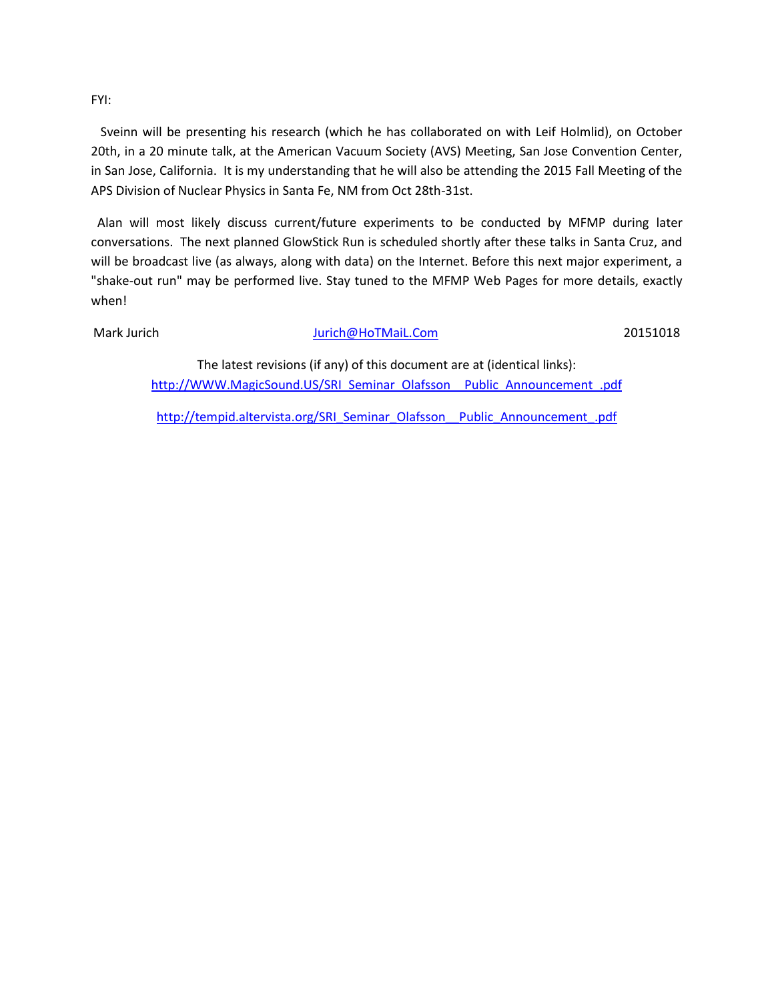FYI:

 Sveinn will be presenting his research (which he has collaborated on with Leif Holmlid), on October 20th, in a 20 minute talk, at the American Vacuum Society (AVS) Meeting, San Jose Convention Center, in San Jose, California. It is my understanding that he will also be attending the 2015 Fall Meeting of the APS Division of Nuclear Physics in Santa Fe, NM from Oct 28th-31st.

 Alan will most likely discuss current/future experiments to be conducted by MFMP during later conversations. The next planned GlowStick Run is scheduled shortly after these talks in Santa Cruz, and will be broadcast live (as always, along with data) on the Internet. Before this next major experiment, a "shake-out run" may be performed live. Stay tuned to the MFMP Web Pages for more details, exactly when!

### Mark Jurich Nurich Mark Jurich Mark Jurich Mark Jurich Mark Jurich Mark Jurich Mark Jurich Mark Jurich Mark Ju

The latest revisions (if any) of this document are at (identical links): [http://WWW.MagicSound.US/SRI\\_Seminar\\_Olafsson\\_\\_Public\\_Announcement\\_.pdf](http://www.magicsound.us/SRI_Seminar_Olafsson__Public_Announcement_.pdf)

[http://tempid.altervista.org/SRI\\_Seminar\\_Olafsson\\_\\_Public\\_Announcement\\_.pdf](http://tempid.altervista.org/SRI_Seminar_Olafsson__Public_Announcement_.pdf)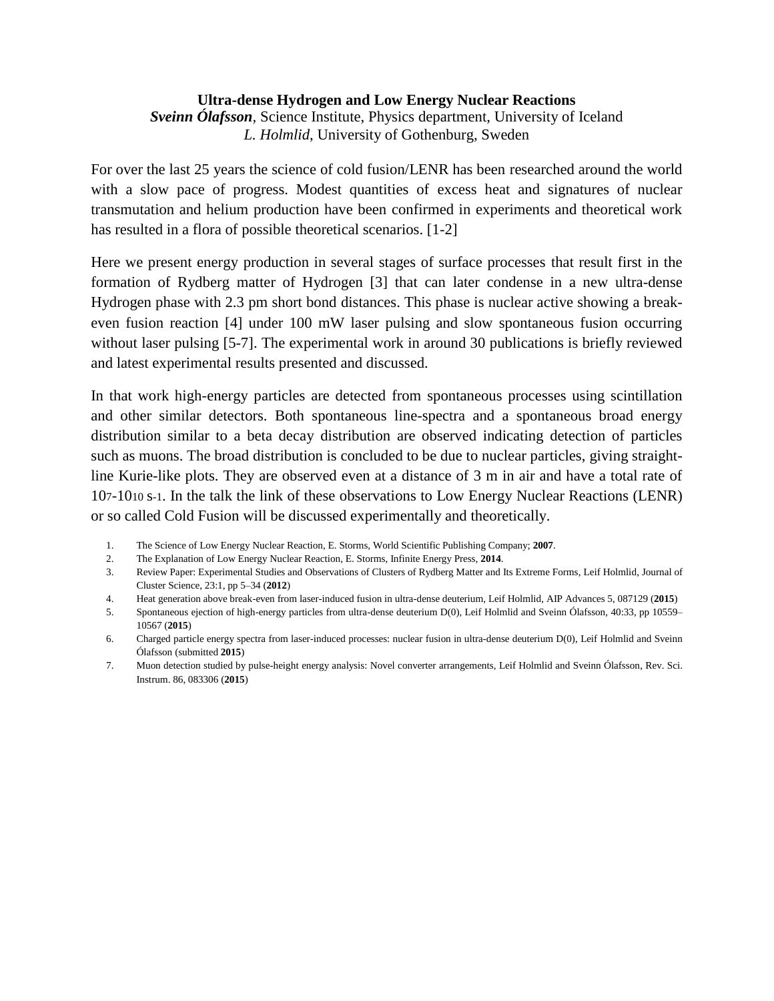### **Ultra-dense Hydrogen and Low Energy Nuclear Reactions**

*Sveinn Ólafsson,* Science Institute, Physics department, University of Iceland *L. Holmlid*, University of Gothenburg, Sweden

For over the last 25 years the science of cold fusion/LENR has been researched around the world with a slow pace of progress. Modest quantities of excess heat and signatures of nuclear transmutation and helium production have been confirmed in experiments and theoretical work has resulted in a flora of possible theoretical scenarios. [1-2]

Here we present energy production in several stages of surface processes that result first in the formation of Rydberg matter of Hydrogen [3] that can later condense in a new ultra-dense Hydrogen phase with 2.3 pm short bond distances. This phase is nuclear active showing a breakeven fusion reaction [4] under 100 mW laser pulsing and slow spontaneous fusion occurring without laser pulsing [5-7]. The experimental work in around 30 publications is briefly reviewed and latest experimental results presented and discussed.

In that work high-energy particles are detected from spontaneous processes using scintillation and other similar detectors. Both spontaneous line-spectra and a spontaneous broad energy distribution similar to a beta decay distribution are observed indicating detection of particles such as muons. The broad distribution is concluded to be due to nuclear particles, giving straightline Kurie-like plots. They are observed even at a distance of 3 m in air and have a total rate of 107-1010 s-1. In the talk the link of these observations to Low Energy Nuclear Reactions (LENR) or so called Cold Fusion will be discussed experimentally and theoretically.

- 1. The Science of Low Energy Nuclear Reaction, E. Storms, World Scientific Publishing Company; **2007**.
- 2. The Explanation of Low Energy Nuclear Reaction, E. Storms, Infinite Energy Press, **2014**.
- 3. Review Paper: Experimental Studies and Observations of Clusters of Rydberg Matter and Its Extreme Forms, Leif Holmlid, Journal of Cluster Science, 23:1, pp 5–34 (**2012**)
- 4. Heat generation above break-even from laser-induced fusion in ultra-dense deuterium, Leif Holmlid, AIP Advances 5, 087129 (**2015**)
- 5. Spontaneous ejection of high-energy particles from ultra-dense deuterium D(0), Leif Holmlid and Sveinn Ólafsson, 40:33, pp 10559– 10567 (**2015**)
- 6. Charged particle energy spectra from laser-induced processes: nuclear fusion in ultra-dense deuterium D(0), Leif Holmlid and Sveinn Ólafsson (submitted **2015**)
- 7. Muon detection studied by pulse-height energy analysis: Novel converter arrangements, Leif Holmlid and Sveinn Ólafsson, Rev. Sci. Instrum. 86, 083306 (**2015**)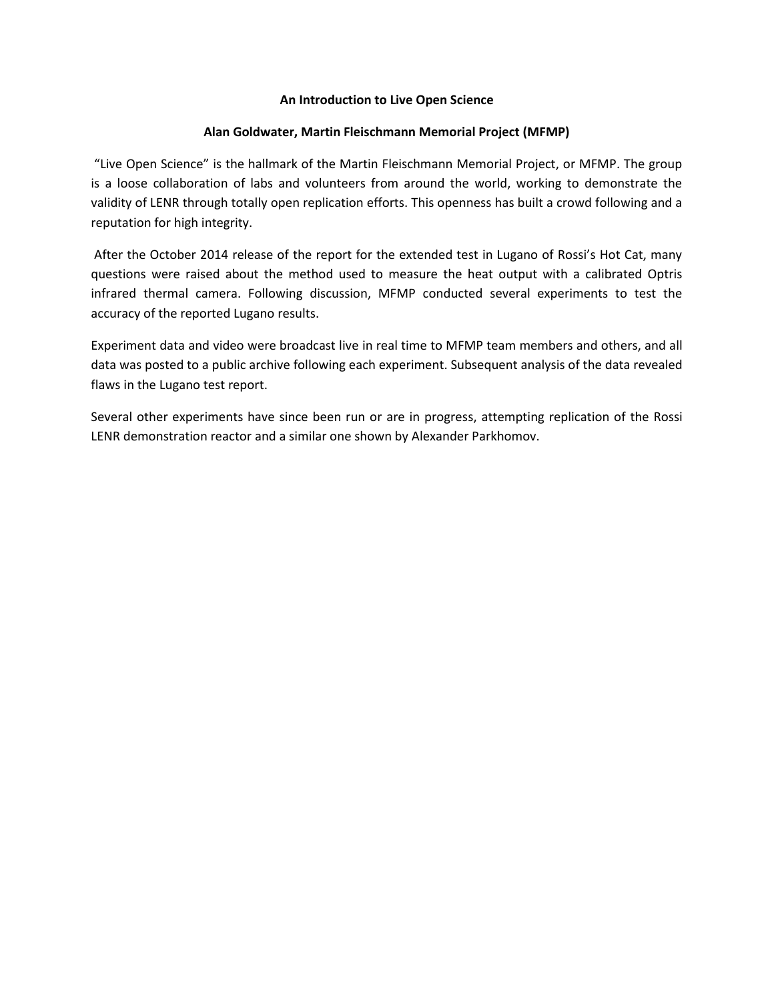### **An Introduction to Live Open Science**

### **Alan Goldwater, Martin Fleischmann Memorial Project (MFMP)**

"Live Open Science" is the hallmark of the Martin Fleischmann Memorial Project, or MFMP. The group is a loose collaboration of labs and volunteers from around the world, working to demonstrate the validity of LENR through totally open replication efforts. This openness has built a crowd following and a reputation for high integrity.

After the October 2014 release of the report for the extended test in Lugano of Rossi's Hot Cat, many questions were raised about the method used to measure the heat output with a calibrated Optris infrared thermal camera. Following discussion, MFMP conducted several experiments to test the accuracy of the reported Lugano results.

Experiment data and video were broadcast live in real time to MFMP team members and others, and all data was posted to a public archive following each experiment. Subsequent analysis of the data revealed flaws in the Lugano test report.

Several other experiments have since been run or are in progress, attempting replication of the Rossi LENR demonstration reactor and a similar one shown by Alexander Parkhomov.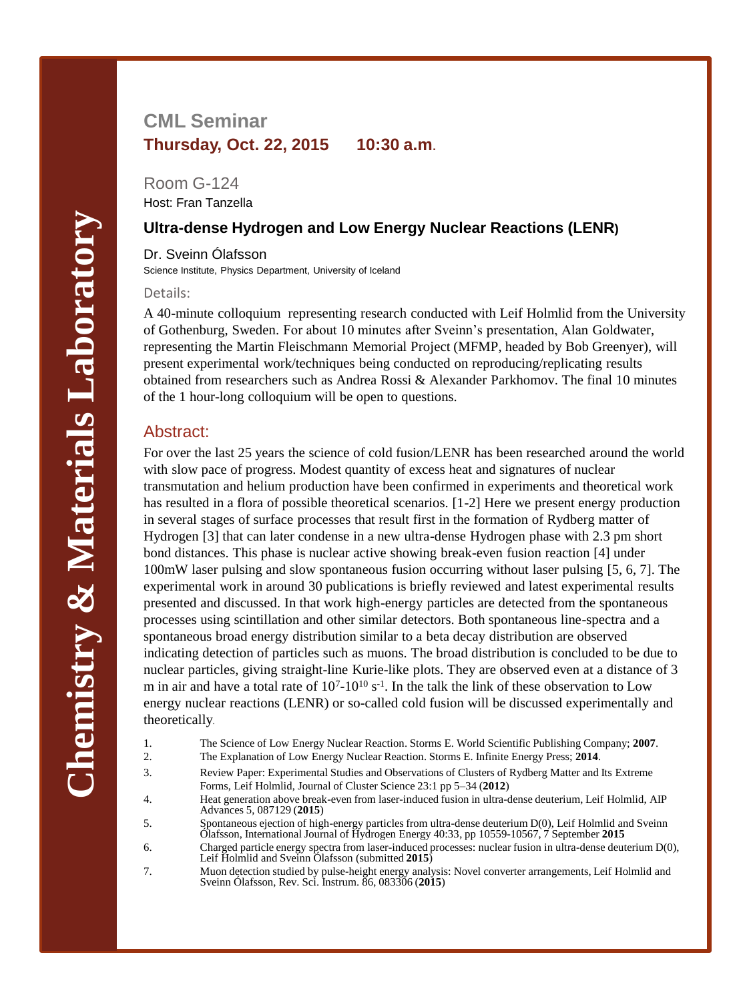## **CML Seminar Thursday, Oct. 22, 2015 10:30 a.m.**

Room G-124 Host: Fran Tanzella

### **Ultra-dense Hydrogen and Low Energy Nuclear Reactions (LENR)**

Dr. Sveinn Ólafsson Science Institute, Physics Department, University of Iceland

#### Details:

A 40-minute colloquium representing research conducted with Leif Holmlid from the University of Gothenburg, Sweden. For about 10 minutes after Sveinn's presentation, Alan Goldwater, representing the Martin Fleischmann Memorial Project (MFMP, headed by Bob Greenyer), will present experimental work/techniques being conducted on reproducing/replicating results obtained from researchers such as Andrea Rossi & Alexander Parkhomov. The final 10 minutes of the 1 hour-long colloquium will be open to questions.

### Abstract:

For over the last 25 years the science of cold fusion/LENR has been researched around the world with slow pace of progress. Modest quantity of excess heat and signatures of nuclear transmutation and helium production have been confirmed in experiments and theoretical work has resulted in a flora of possible theoretical scenarios. [1-2] Here we present energy production in several stages of surface processes that result first in the formation of Rydberg matter of Hydrogen [3] that can later condense in a new ultra-dense Hydrogen phase with 2.3 pm short bond distances. This phase is nuclear active showing break-even fusion reaction [4] under 100mW laser pulsing and slow spontaneous fusion occurring without laser pulsing [5, 6, 7]. The experimental work in around 30 publications is briefly reviewed and latest experimental results presented and discussed. In that work high-energy particles are detected from the spontaneous processes using scintillation and other similar detectors. Both spontaneous line-spectra and a spontaneous broad energy distribution similar to a beta decay distribution are observed indicating detection of particles such as muons. The broad distribution is concluded to be due to nuclear particles, giving straight-line Kurie-like plots. They are observed even at a distance of 3 m in air and have a total rate of  $10^{7}$ - $10^{10}$  s<sup>-1</sup>. In the talk the link of these observation to Low energy nuclear reactions (LENR) or so-called cold fusion will be discussed experimentally and theoretically.

- 1. The Science of Low Energy Nuclear Reaction. Storms E. World Scientific Publishing Company; **2007**.
- 2. The Explanation of Low Energy Nuclear Reaction. Storms E. Infinite Energy Press; **2014**.
- 3. Review Paper: Experimental Studies and Observations of Clusters of Rydberg Matter and Its Extreme Forms, Leif Holmlid, Journal of Cluster Science 23:1 pp 5–34 (**2012**)
- 4. Heat generation above break-even from laser-induced fusion in ultra-dense deuterium, Leif Holmlid, AIP Advances 5, 087129 (**2015**)
- 5. Spontaneous ejection of high-energy particles from ultra-dense deuterium D(0), Leif Holmlid and Sveinn Ólafsson, International Journal of Hydrogen Energy 40:33, pp 10559-10567, 7 September **2015**
- 6. Charged particle energy spectra from laser-induced processes: nuclear fusion in ultra-dense deuterium D(0), Leif Holmlid and Sveinn Ólafsson (submitted **2015**)
- 7. Muon detection studied by pulse-height energy analysis: Novel converter arrangements, Leif Holmlid and Sveinn Ólafsson, Rev. Sci. Instrum. 86, 083306 (**2015**)